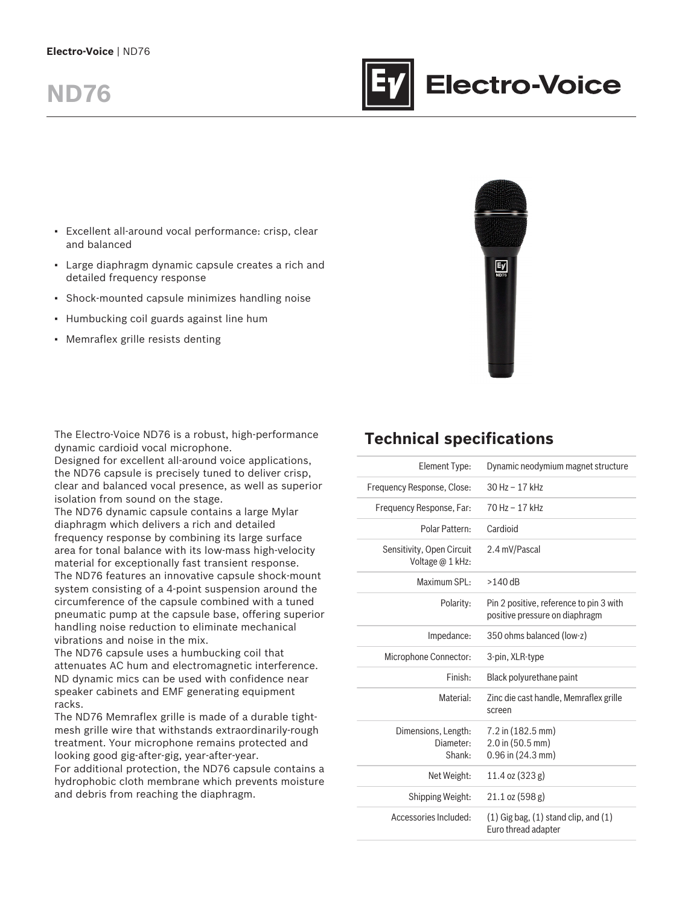### **Electro-Voice** | ND76

# **ND76**



- Large diaphragm dynamic capsule creates a rich and detailed frequency response
- Shock-mounted capsule minimizes handling noise
- Humbucking coil guards against line hum
- Memraflex grille resists denting



**Electro-Voice** 

The Electro-Voice ND76 is a robust, high-performance dynamic cardioid vocal microphone.

Designed for excellent all-around voice applications, the ND76 capsule is precisely tuned to deliver crisp, clear and balanced vocal presence, as well as superior isolation from sound on the stage.

The ND76 dynamic capsule contains a large Mylar diaphragm which delivers a rich and detailed frequency response by combining its large surface area for tonal balance with its low-mass high-velocity material for exceptionally fast transient response. The ND76 features an innovative capsule shock-mount system consisting of a 4-point suspension around the circumference of the capsule combined with a tuned pneumatic pump at the capsule base, offering superior handling noise reduction to eliminate mechanical vibrations and noise in the mix.

The ND76 capsule uses a humbucking coil that attenuates AC hum and electromagnetic interference. ND dynamic mics can be used with confidence near speaker cabinets and EMF generating equipment racks.

The ND76 Memraflex grille is made of a durable tightmesh grille wire that withstands extraordinarily-rough treatment. Your microphone remains protected and looking good gig-after-gig, year-after-year.

For additional protection, the ND76 capsule contains a hydrophobic cloth membrane which prevents moisture and debris from reaching the diaphragm.

# **Technical specifications**

| Element Type:                                 | Dynamic neodymium magnet structure                                        |
|-----------------------------------------------|---------------------------------------------------------------------------|
| Frequency Response, Close:                    | 30 Hz - 17 kHz                                                            |
| Frequency Response, Far:                      | 70 Hz - 17 kHz                                                            |
| Polar Pattern:                                | Cardioid                                                                  |
| Sensitivity, Open Circuit<br>Voltage @ 1 kHz: | 2.4 mV/Pascal                                                             |
| Maximum SPL:                                  | $>140$ dB                                                                 |
| Polarity:                                     | Pin 2 positive, reference to pin 3 with<br>positive pressure on diaphragm |
| Impedance:                                    | 350 ohms balanced (low-z)                                                 |
| Microphone Connector:                         | 3-pin, XLR-type                                                           |
| Finish:                                       | Black polyurethane paint                                                  |
| Material:                                     | Zinc die cast handle, Memraflex grille<br>screen                          |
| Dimensions, Length:<br>Diameter:<br>Shank:    | $7.2$ in $(182.5$ mm)<br>$2.0$ in $(50.5$ mm)<br>$0.96$ in $(24.3$ mm)    |
| Net Weight:                                   | 11.4 oz (323 g)                                                           |
| Shipping Weight:                              | $21.1$ oz (598 g)                                                         |
| Accessories Included:                         | $(1)$ Gig bag, $(1)$ stand clip, and $(1)$<br>Euro thread adapter         |